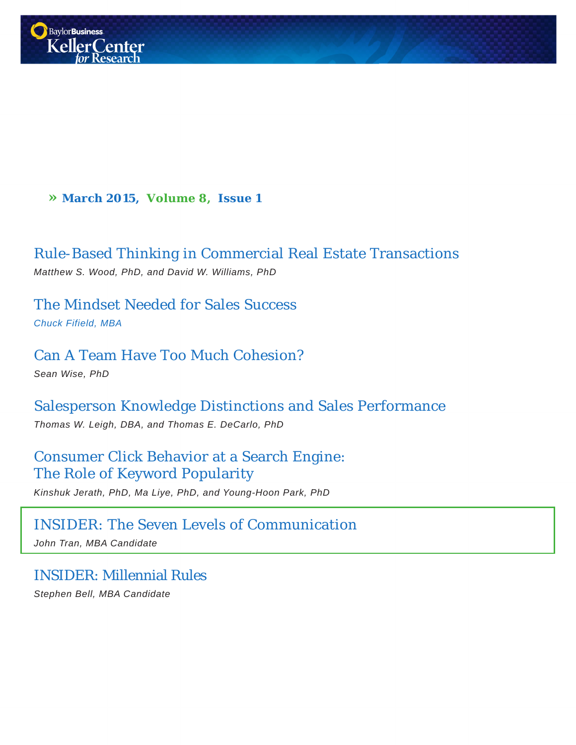**» March 2015, Volume 8, Issue 1**

Rule-Based Thinking in Commercial Real Estate Transactions

*Matthew S. Wood, PhD, and David W. Williams, PhD*

The Mindset Needed for Sales Success *Chuck Fifield, MBA*

Can A Team Have Too Much Cohesion? *Sean Wise, PhD*

Salesperson Knowledge Distinctions and Sales Performance

*Thomas W. Leigh, DBA, and Thomas E. DeCarlo, PhD*

# Consumer Click Behavior at a Search Engine: The Role of Keyword Popularity

*Kinshuk Jerath, PhD, Ma Liye, PhD, and Young-Hoon Park, PhD*

# INSIDER: The Seven Levels of Communication

*John Tran, MBA Candidate*

## INSIDER: Millennial Rules

*Stephen Bell, MBA Candidate*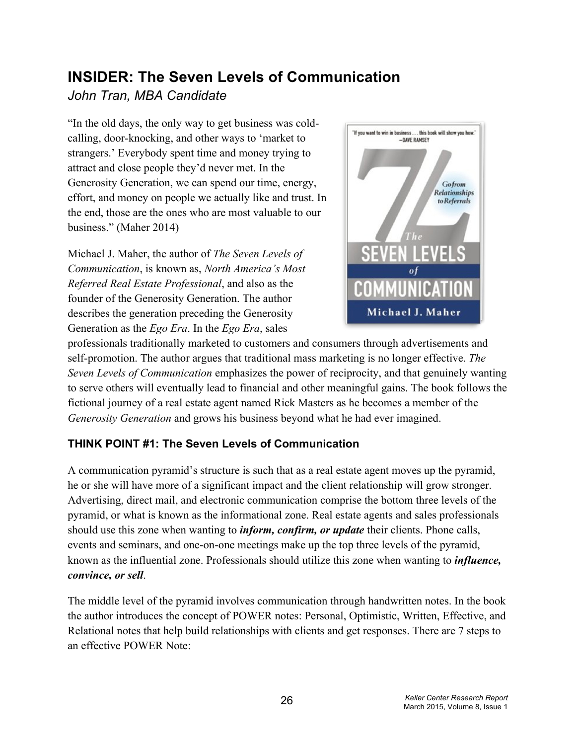# **INSIDER: The Seven Levels of Communication**

*John Tran, MBA Candidate*

"In the old days, the only way to get business was coldcalling, door-knocking, and other ways to 'market to strangers.' Everybody spent time and money trying to attract and close people they'd never met. In the Generosity Generation, we can spend our time, energy, effort, and money on people we actually like and trust. In the end, those are the ones who are most valuable to our business." (Maher 2014)

Michael J. Maher, the author of *The Seven Levels of Communication*, is known as, *North America's Most Referred Real Estate Professional*, and also as the founder of the Generosity Generation. The author describes the generation preceding the Generosity Generation as the *Ego Era*. In the *Ego Era*, sales



professionals traditionally marketed to customers and consumers through advertisements and self-promotion. The author argues that traditional mass marketing is no longer effective. *The Seven Levels of Communication* emphasizes the power of reciprocity, and that genuinely wanting to serve others will eventually lead to financial and other meaningful gains. The book follows the fictional journey of a real estate agent named Rick Masters as he becomes a member of the *Generosity Generation* and grows his business beyond what he had ever imagined.

### **THINK POINT #1: The Seven Levels of Communication**

A communication pyramid's structure is such that as a real estate agent moves up the pyramid, he or she will have more of a significant impact and the client relationship will grow stronger. Advertising, direct mail, and electronic communication comprise the bottom three levels of the pyramid, or what is known as the informational zone. Real estate agents and sales professionals should use this zone when wanting to *inform, confirm, or update* their clients. Phone calls, events and seminars, and one-on-one meetings make up the top three levels of the pyramid, known as the influential zone. Professionals should utilize this zone when wanting to *influence, convince, or sell*.

The middle level of the pyramid involves communication through handwritten notes. In the book the author introduces the concept of POWER notes: Personal, Optimistic, Written, Effective, and Relational notes that help build relationships with clients and get responses. There are 7 steps to an effective POWER Note: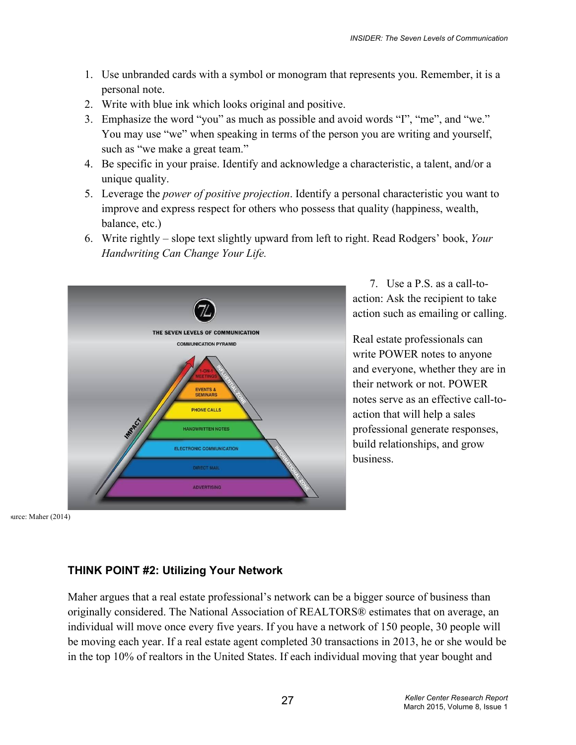- 1. Use unbranded cards with a symbol or monogram that represents you. Remember, it is a personal note.
- 2. Write with blue ink which looks original and positive.
- 3. Emphasize the word "you" as much as possible and avoid words "I", "me", and "we." You may use "we" when speaking in terms of the person you are writing and yourself, such as "we make a great team."
- 4. Be specific in your praise. Identify and acknowledge a characteristic, a talent, and/or a unique quality.
- 5. Leverage the *power of positive projection*. Identify a personal characteristic you want to improve and express respect for others who possess that quality (happiness, wealth, balance, etc.)
- 6. Write rightly slope text slightly upward from left to right. Read Rodgers' book, *Your Handwriting Can Change Your Life.*



7. Use a P.S. as a call-toaction: Ask the recipient to take action such as emailing or calling.

Real estate professionals can write POWER notes to anyone and everyone, whether they are in their network or not. POWER notes serve as an effective call-toaction that will help a sales professional generate responses, build relationships, and grow business.

urce: Maher (2014)

#### **THINK POINT #2: Utilizing Your Network**

Maher argues that a real estate professional's network can be a bigger source of business than originally considered. The National Association of REALTORS® estimates that on average, an individual will move once every five years. If you have a network of 150 people, 30 people will be moving each year. If a real estate agent completed 30 transactions in 2013, he or she would be in the top 10% of realtors in the United States. If each individual moving that year bought and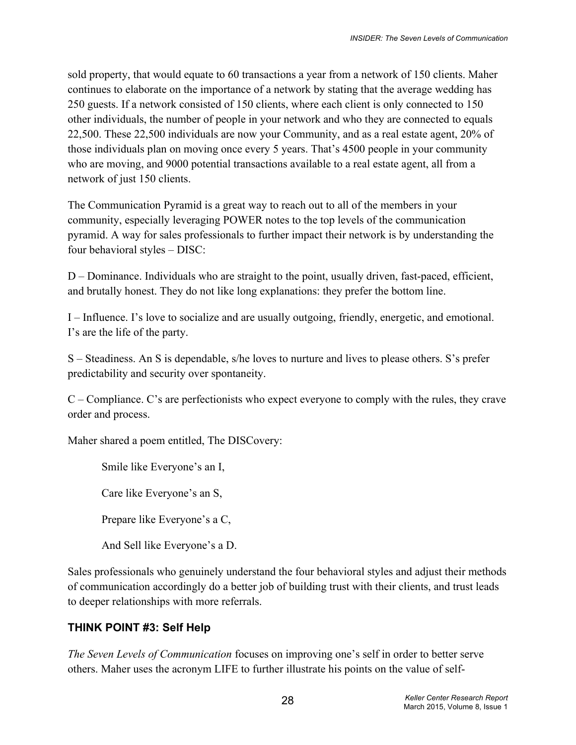sold property, that would equate to 60 transactions a year from a network of 150 clients. Maher continues to elaborate on the importance of a network by stating that the average wedding has 250 guests. If a network consisted of 150 clients, where each client is only connected to 150 other individuals, the number of people in your network and who they are connected to equals 22,500. These 22,500 individuals are now your Community, and as a real estate agent, 20% of those individuals plan on moving once every 5 years. That's 4500 people in your community who are moving, and 9000 potential transactions available to a real estate agent, all from a network of just 150 clients.

The Communication Pyramid is a great way to reach out to all of the members in your community, especially leveraging POWER notes to the top levels of the communication pyramid. A way for sales professionals to further impact their network is by understanding the four behavioral styles – DISC:

D – Dominance. Individuals who are straight to the point, usually driven, fast-paced, efficient, and brutally honest. They do not like long explanations: they prefer the bottom line.

I – Influence. I's love to socialize and are usually outgoing, friendly, energetic, and emotional. I's are the life of the party.

S – Steadiness. An S is dependable, s/he loves to nurture and lives to please others. S's prefer predictability and security over spontaneity.

C – Compliance. C's are perfectionists who expect everyone to comply with the rules, they crave order and process.

Maher shared a poem entitled, The DISCovery:

Smile like Everyone's an I,

Care like Everyone's an S,

Prepare like Everyone's a C,

And Sell like Everyone's a D.

Sales professionals who genuinely understand the four behavioral styles and adjust their methods of communication accordingly do a better job of building trust with their clients, and trust leads to deeper relationships with more referrals.

## **THINK POINT #3: Self Help**

*The Seven Levels of Communication* focuses on improving one's self in order to better serve others. Maher uses the acronym LIFE to further illustrate his points on the value of self